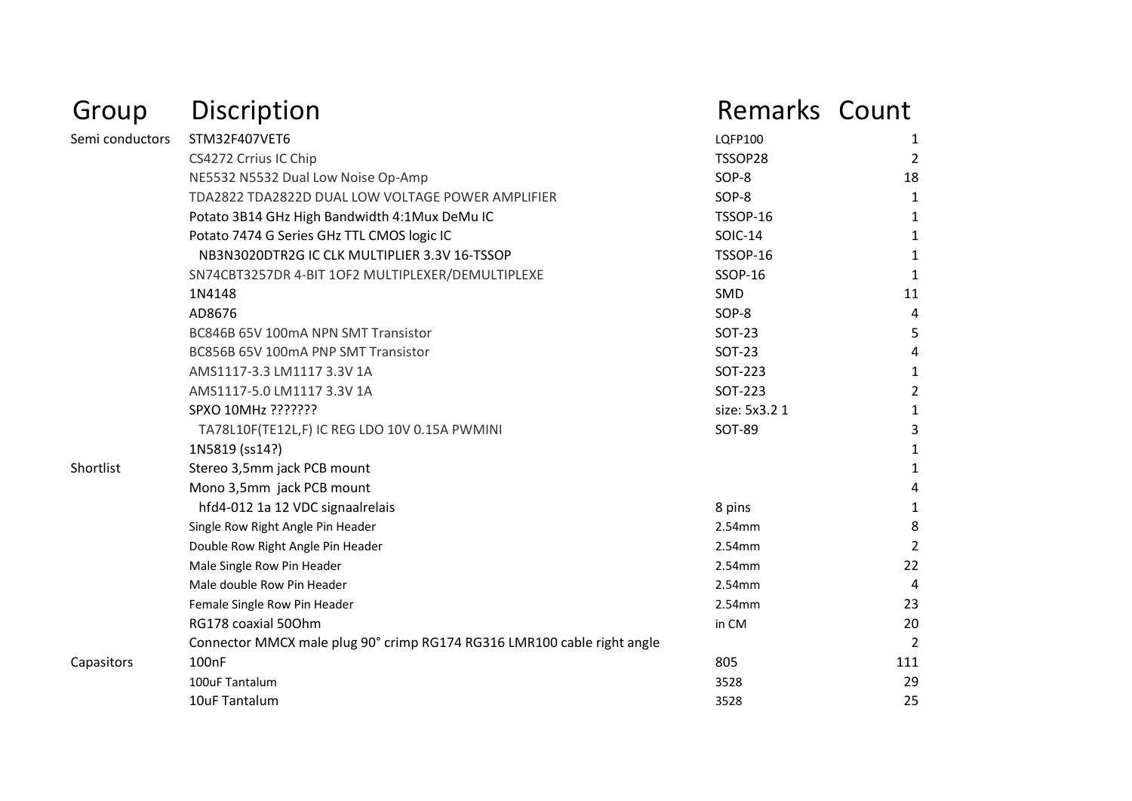| Group           | Discription                                                             | <b>Remarks Count</b> |                |
|-----------------|-------------------------------------------------------------------------|----------------------|----------------|
| Semi conductors | STM32F407VET6                                                           | <b>LQFP100</b>       | 1              |
|                 | CS4272 Crrius IC Chip                                                   | TSSOP28              | 2              |
|                 | NE5532 N5532 Dual Low Noise Op-Amp                                      | SOP-8                | 18             |
|                 | TDA2822 TDA2822D DUAL LOW VOLTAGE POWER AMPLIFIER                       | SOP-8                | 1              |
|                 | Potato 3B14 GHz High Bandwidth 4:1Mux DeMu IC                           | TSSOP-16             | 1              |
|                 | Potato 7474 G Series GHz TTL CMOS logic IC                              | <b>SOIC-14</b>       | 1              |
|                 | NB3N3020DTR2G IC CLK MULTIPLIER 3.3V 16-TSSOP                           | <b>TSSOP-16</b>      | 1              |
|                 | SN74CBT3257DR 4-BIT 1OF2 MULTIPLEXER/DEMULTIPLEXE                       | <b>SSOP-16</b>       | 1              |
|                 | 1N4148                                                                  | SMD                  | 11             |
|                 | AD8676                                                                  | SOP-8                | 4              |
|                 | BC846B 65V 100mA NPN SMT Transistor                                     | SOT-23               | 5              |
|                 | BC856B 65V 100mA PNP SMT Transistor                                     | <b>SOT-23</b>        | 4              |
|                 | AMS1117-3.3 LM1117 3.3V 1A                                              | SOT-223              | 1              |
|                 | AMS1117-5.0 LM1117 3.3V 1A                                              | SOT-223              | $\overline{2}$ |
|                 | SPXO 10MHz ???????                                                      | size: 5x3.2 1        | 1              |
|                 | TA78L10F(TE12L,F) IC REG LDO 10V 0.15A PWMINI                           | SOT-89               | 3              |
|                 | 1N5819 (ss14?)                                                          |                      | 1              |
| Shortlist       | Stereo 3,5mm jack PCB mount                                             |                      | 1              |
|                 | Mono 3,5mm jack PCB mount                                               |                      | 4              |
|                 | hfd4-012 1a 12 VDC signaalrelais                                        | 8 pins               | 1              |
|                 | Single Row Right Angle Pin Header                                       | 2.54mm               | 8              |
|                 | Double Row Right Angle Pin Header                                       | 2.54mm               | $\overline{2}$ |
|                 | Male Single Row Pin Header                                              | 2.54mm               | 22             |
|                 | Male double Row Pin Header                                              | 2.54mm               | 4              |
|                 | Female Single Row Pin Header                                            | 2.54mm               | 23             |
|                 | RG178 coaxial 500hm                                                     | in CM                | 20             |
|                 | Connector MMCX male plug 90° crimp RG174 RG316 LMR100 cable right angle |                      | 2              |
| Capasitors      | 100 <sub>nF</sub>                                                       | 805                  | 111            |
|                 | 100uF Tantalum                                                          | 3528                 | 29             |
|                 | 10uF Tantalum                                                           | 3528                 | 25             |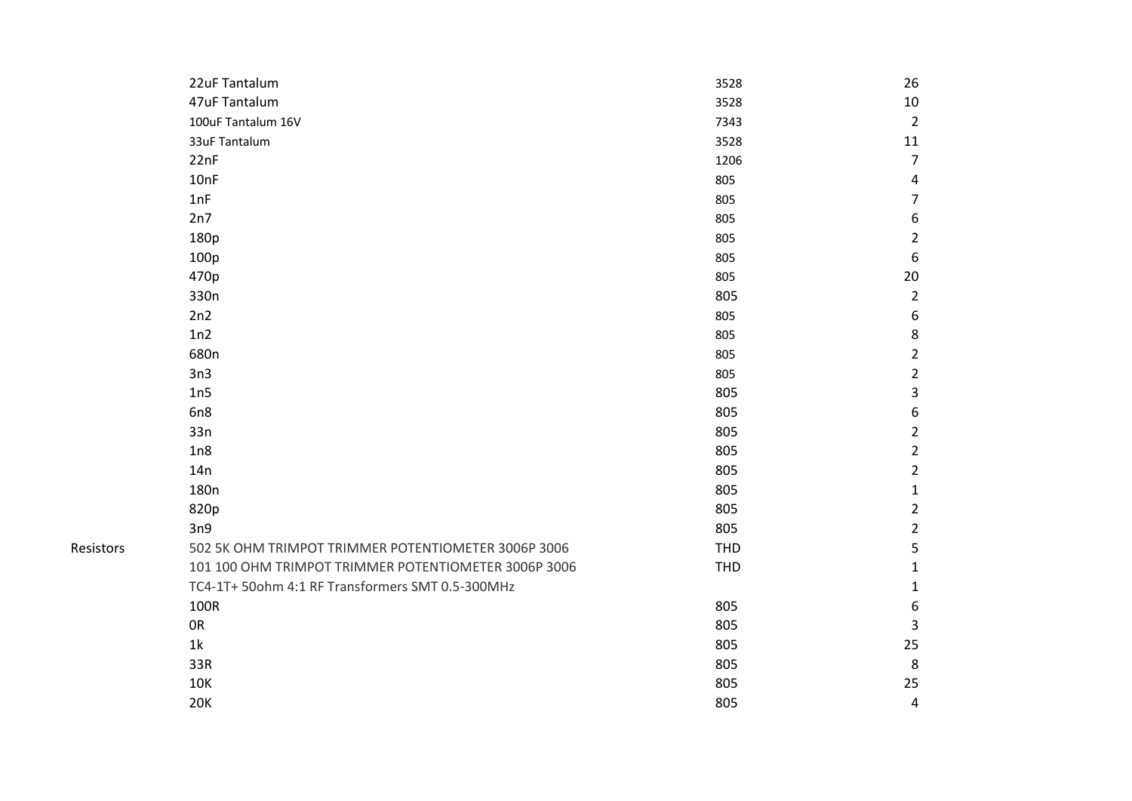|           | 22uF Tantalum                                        | 3528 | 26               |
|-----------|------------------------------------------------------|------|------------------|
|           | 47uF Tantalum                                        | 3528 | 10               |
|           | 100uF Tantalum 16V                                   | 7343 | $\overline{2}$   |
|           | 33uF Tantalum                                        | 3528 | 11               |
|           | 22nF                                                 | 1206 | $\overline{7}$   |
|           | 10nF                                                 | 805  | 4                |
|           | 1nF                                                  | 805  | $\boldsymbol{7}$ |
|           | 2n7                                                  | 805  | 6                |
|           | 180p                                                 | 805  | $\overline{2}$   |
|           | 100p                                                 | 805  | $\boldsymbol{6}$ |
|           | 470p                                                 | 805  | 20               |
|           | 330n                                                 | 805  | $\overline{2}$   |
|           | 2n2                                                  | 805  | $\boldsymbol{6}$ |
|           | 1n2                                                  | 805  | $\bf 8$          |
|           | 680n                                                 | 805  | $\overline{2}$   |
|           | 3n3                                                  | 805  | $\overline{2}$   |
|           | 1n5                                                  | 805  | 3                |
|           | 6n8                                                  | 805  | $\boldsymbol{6}$ |
|           | 33n                                                  | 805  | $\overline{2}$   |
|           | 1n8                                                  | 805  | $\overline{2}$   |
|           | 14n                                                  | 805  | $\overline{2}$   |
|           | 180 <sub>n</sub>                                     | 805  | $\mathbf{1}$     |
|           | 820p                                                 | 805  | $\overline{2}$   |
|           | 3n9                                                  | 805  | $\overline{2}$   |
| Resistors | 502 5K OHM TRIMPOT TRIMMER POTENTIOMETER 3006P 3006  | THD  | 5                |
|           | 101 100 OHM TRIMPOT TRIMMER POTENTIOMETER 3006P 3006 | THD  | $\mathbf{1}$     |
|           | TC4-1T+ 50ohm 4:1 RF Transformers SMT 0.5-300MHz     |      | $\mathbf{1}$     |
|           | 100R                                                 | 805  | $\boldsymbol{6}$ |
|           | ${\sf OR}$                                           | 805  | 3                |
|           | 1 <sup>k</sup>                                       | 805  | 25               |
|           | 33R                                                  | 805  | 8                |
|           | 10K                                                  | 805  | 25               |
|           | <b>20K</b>                                           | 805  | 4                |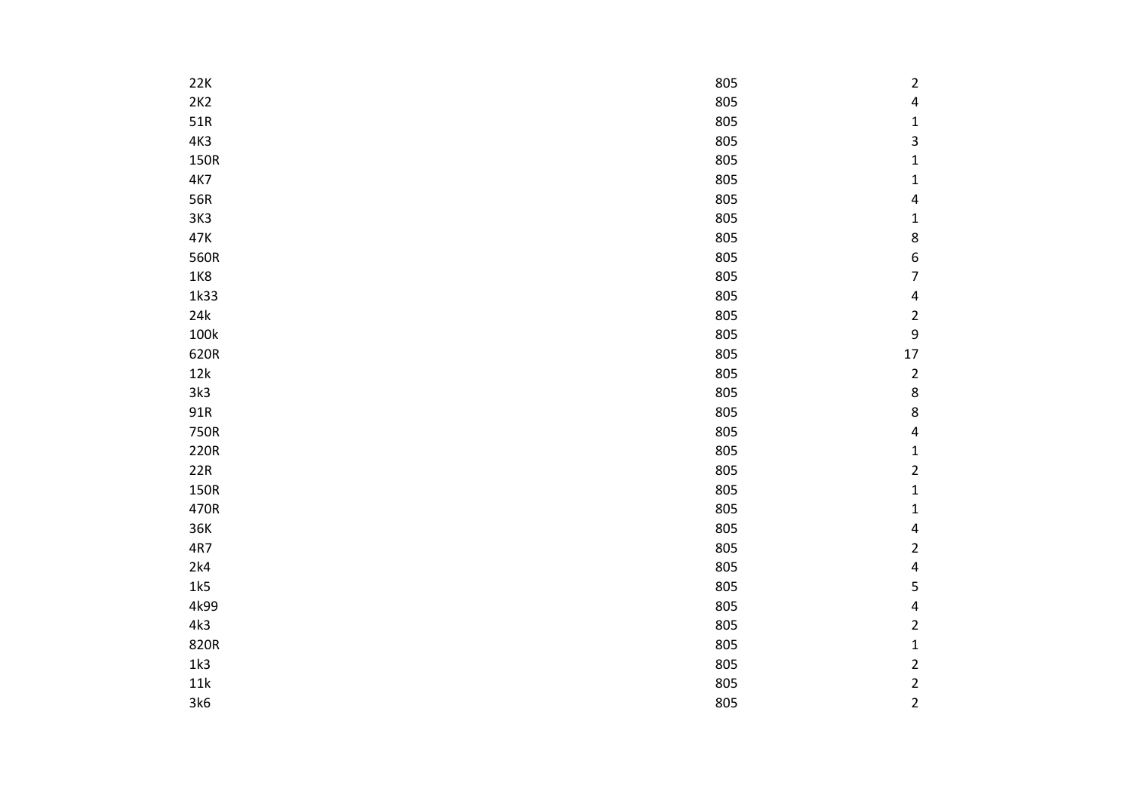| 22K  | 805 | $\overline{2}$           |
|------|-----|--------------------------|
| 2K2  | 805 | $\overline{\mathbf{r}}$  |
| 51R  | 805 | $\mathbf 1$              |
| 4K3  | 805 | 3                        |
| 150R | 805 | $\mathbf{1}$             |
| 4K7  | 805 | $\mathbf 1$              |
| 56R  | 805 | $\overline{\mathbf{r}}$  |
| 3K3  | 805 | $\mathbf 1$              |
| 47K  | 805 | 8                        |
| 560R | 805 | 6                        |
| 1K8  | 805 | $\overline{\mathcal{I}}$ |
| 1k33 | 805 | 4                        |
| 24k  | 805 | $\overline{\mathbf{c}}$  |
| 100k | 805 | 9                        |
| 620R | 805 | 17                       |
| 12k  | 805 | $\mathbf 2$              |
| 3k3  | 805 | 8                        |
| 91R  | 805 | $\bf 8$                  |
| 750R | 805 | $\overline{\mathbf{r}}$  |
| 220R | 805 | $\mathbf 1$              |
| 22R  | 805 | $\overline{\mathbf{c}}$  |
| 150R | 805 | $\mathbf 1$              |
| 470R | 805 | $\mathbf 1$              |
| 36K  | 805 | 4                        |
| 4R7  | 805 | $\overline{\mathbf{c}}$  |
| 2k4  | 805 | 4                        |
| 1k5  | 805 | 5                        |
| 4k99 | 805 | 4                        |
| 4k3  | 805 | $\overline{\mathbf{c}}$  |
| 820R | 805 | $\mathbf 1$              |
| 1k3  | 805 | $\overline{\mathbf{c}}$  |
| 11k  | 805 | $\overline{\mathbf{c}}$  |
| 3k6  | 805 | $\overline{2}$           |